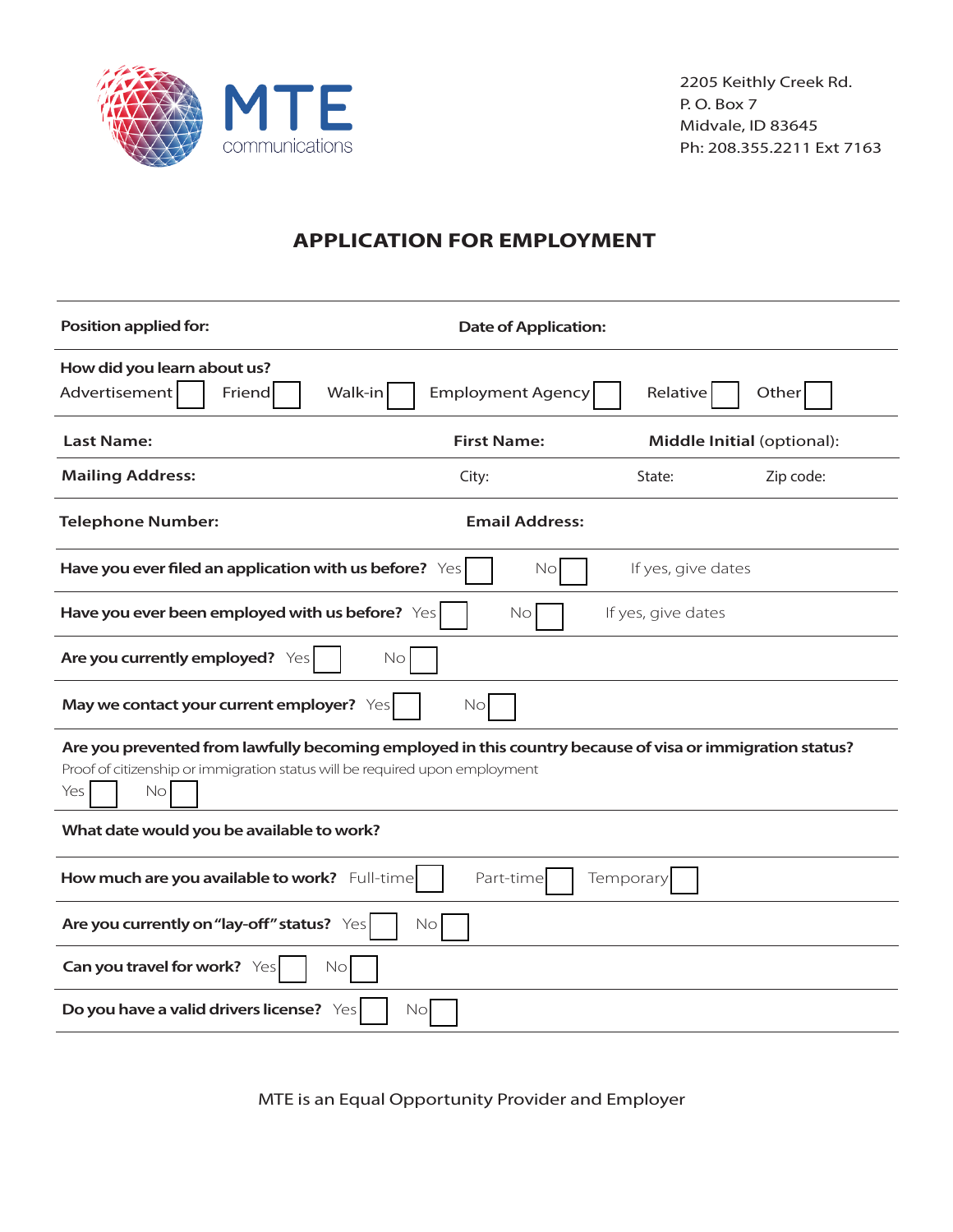

## **APPLICATION FOR EMPLOYMENT**

| <b>Position applied for:</b>                                                                                                                                                                         | <b>Date of Application:</b> |                            |           |  |
|------------------------------------------------------------------------------------------------------------------------------------------------------------------------------------------------------|-----------------------------|----------------------------|-----------|--|
| How did you learn about us?<br>Advertisement<br>Walk-in<br>Relative<br>Other<br>Friend<br><b>Employment Agency</b>                                                                                   |                             |                            |           |  |
| <b>Last Name:</b>                                                                                                                                                                                    | <b>First Name:</b>          | Middle Initial (optional): |           |  |
| <b>Mailing Address:</b>                                                                                                                                                                              | City:                       | State:                     | Zip code: |  |
| <b>Telephone Number:</b>                                                                                                                                                                             | <b>Email Address:</b>       |                            |           |  |
| Have you ever filed an application with us before? Yes                                                                                                                                               | No                          | If yes, give dates         |           |  |
| Have you ever been employed with us before? Yes                                                                                                                                                      | No                          | If yes, give dates         |           |  |
| Are you currently employed? Yes<br>No                                                                                                                                                                |                             |                            |           |  |
| May we contact your current employer? Yes<br>No                                                                                                                                                      |                             |                            |           |  |
| Are you prevented from lawfully becoming employed in this country because of visa or immigration status?<br>Proof of citizenship or immigration status will be required upon employment<br>No<br>Yes |                             |                            |           |  |
| What date would you be available to work?                                                                                                                                                            |                             |                            |           |  |
| How much are you available to work? Full-time<br>Part-time<br>Temporary                                                                                                                              |                             |                            |           |  |
| Are you currently on "lay-off" status? Yes<br>No                                                                                                                                                     |                             |                            |           |  |
| Can you travel for work? Yes<br>No                                                                                                                                                                   |                             |                            |           |  |
| Do you have a valid drivers license? Yes<br>Nol                                                                                                                                                      |                             |                            |           |  |

MTE is an Equal Opportunity Provider and Employer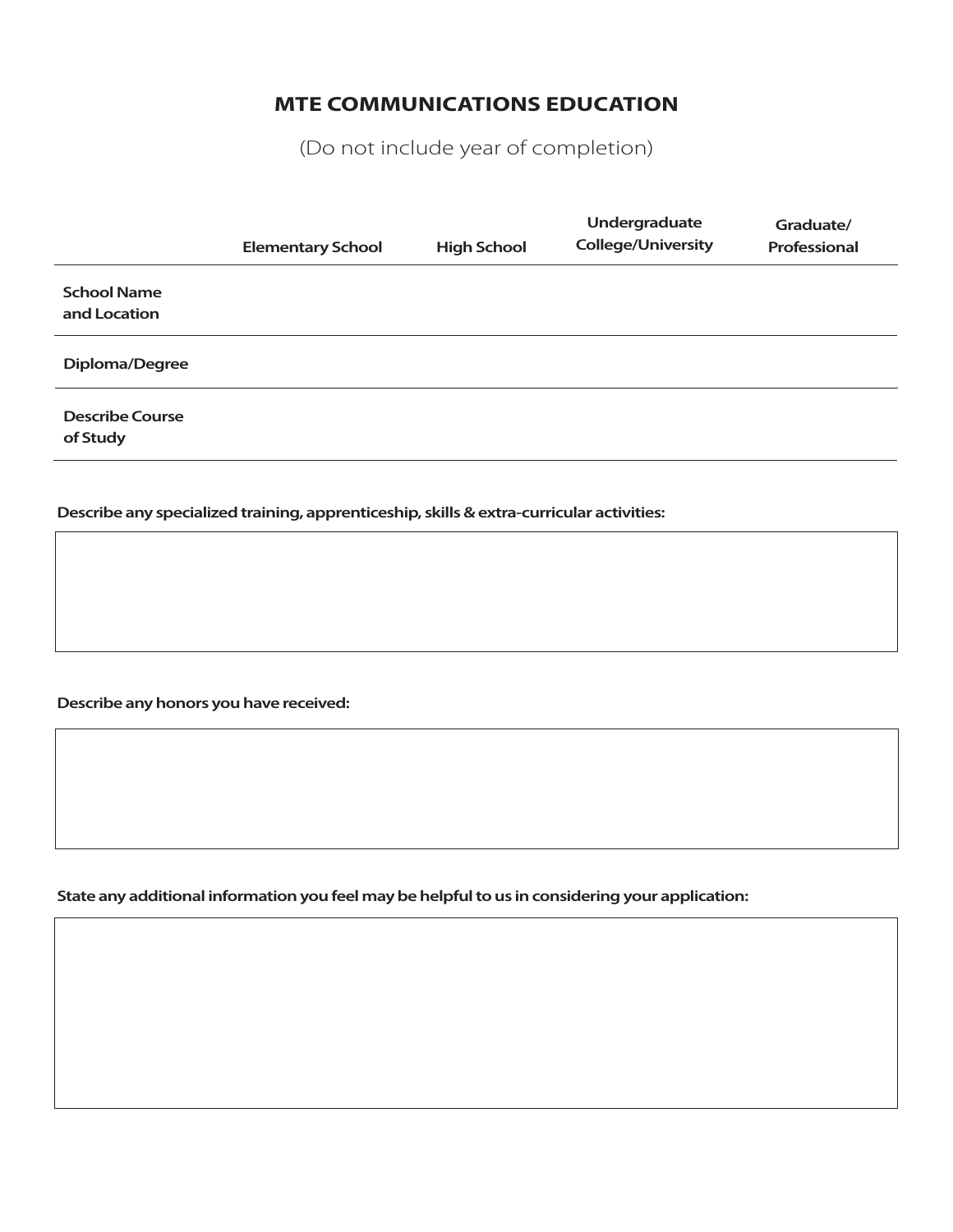# **MTE COMMUNICATIONS EDUCATION**

(Do not include year of completion)

|                                    | <b>Elementary School</b> | <b>High School</b> | Undergraduate<br><b>College/University</b> | Graduate/<br>Professional |
|------------------------------------|--------------------------|--------------------|--------------------------------------------|---------------------------|
| <b>School Name</b><br>and Location |                          |                    |                                            |                           |
| Diploma/Degree                     |                          |                    |                                            |                           |
| <b>Describe Course</b><br>of Study |                          |                    |                                            |                           |

**Describe any specialized training, apprenticeship, skills & extra-curricular activities:** 

**Describe any honors you have received:** 

**State any additional information you feel may be helpful to us in considering your application:**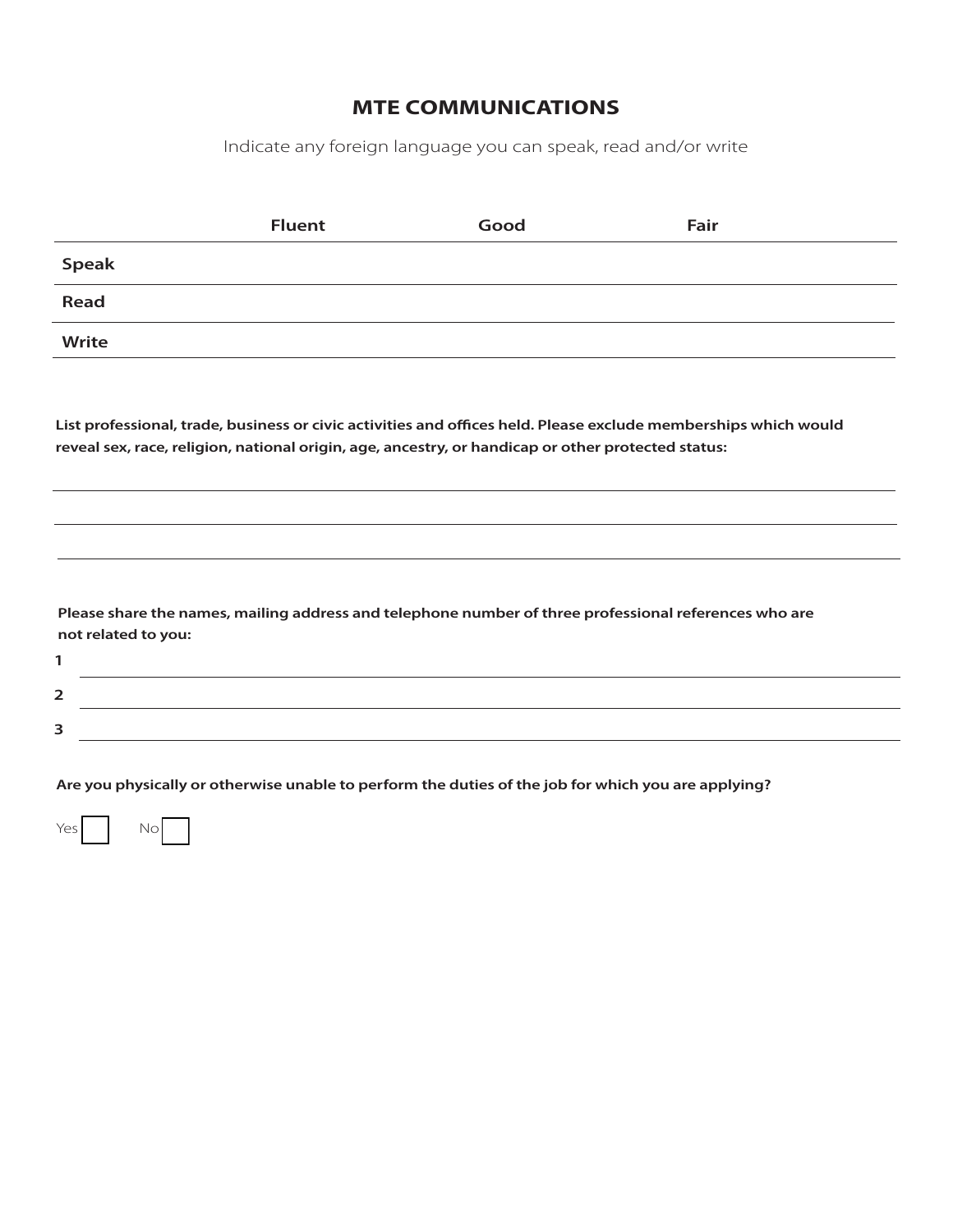Indicate any foreign language you can speak, read and/or write

|              | <b>Fluent</b> | Good | Fair |
|--------------|---------------|------|------|
| <b>Speak</b> |               |      |      |
| Read         |               |      |      |
| Write        |               |      |      |
|              |               |      |      |

List professional, trade, business or civic activities and offices held. Please exclude memberships which would **reveal sex, race, religion, national origin, age, ancestry, or handicap or other protected status:**

**Please share the names, mailing address and telephone number of three professional references who are not related to you:**

| - |  |
|---|--|
|   |  |

**Are you physically or otherwise unable to perform the duties of the job for which you are applying?**

| Yes l | Nο |
|-------|----|
|-------|----|

**1**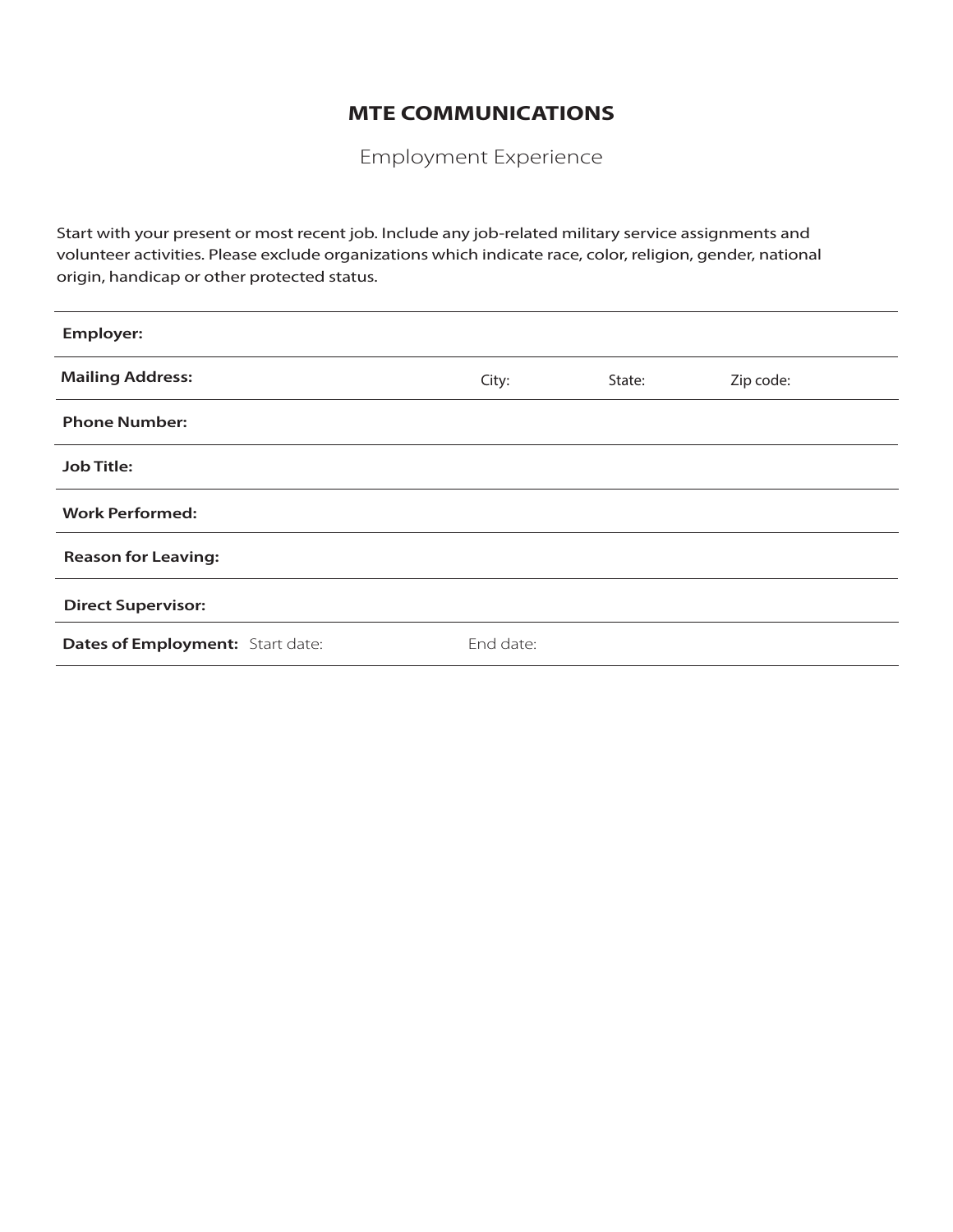Employment Experience

Start with your present or most recent job. Include any job-related military service assignments and volunteer activities. Please exclude organizations which indicate race, color, religion, gender, national origin, handicap or other protected status.

| <b>Employer:</b>                 |           |        |           |
|----------------------------------|-----------|--------|-----------|
| <b>Mailing Address:</b>          | City:     | State: | Zip code: |
| <b>Phone Number:</b>             |           |        |           |
| <b>Job Title:</b>                |           |        |           |
| <b>Work Performed:</b>           |           |        |           |
| <b>Reason for Leaving:</b>       |           |        |           |
| <b>Direct Supervisor:</b>        |           |        |           |
| Dates of Employment: Start date: | End date: |        |           |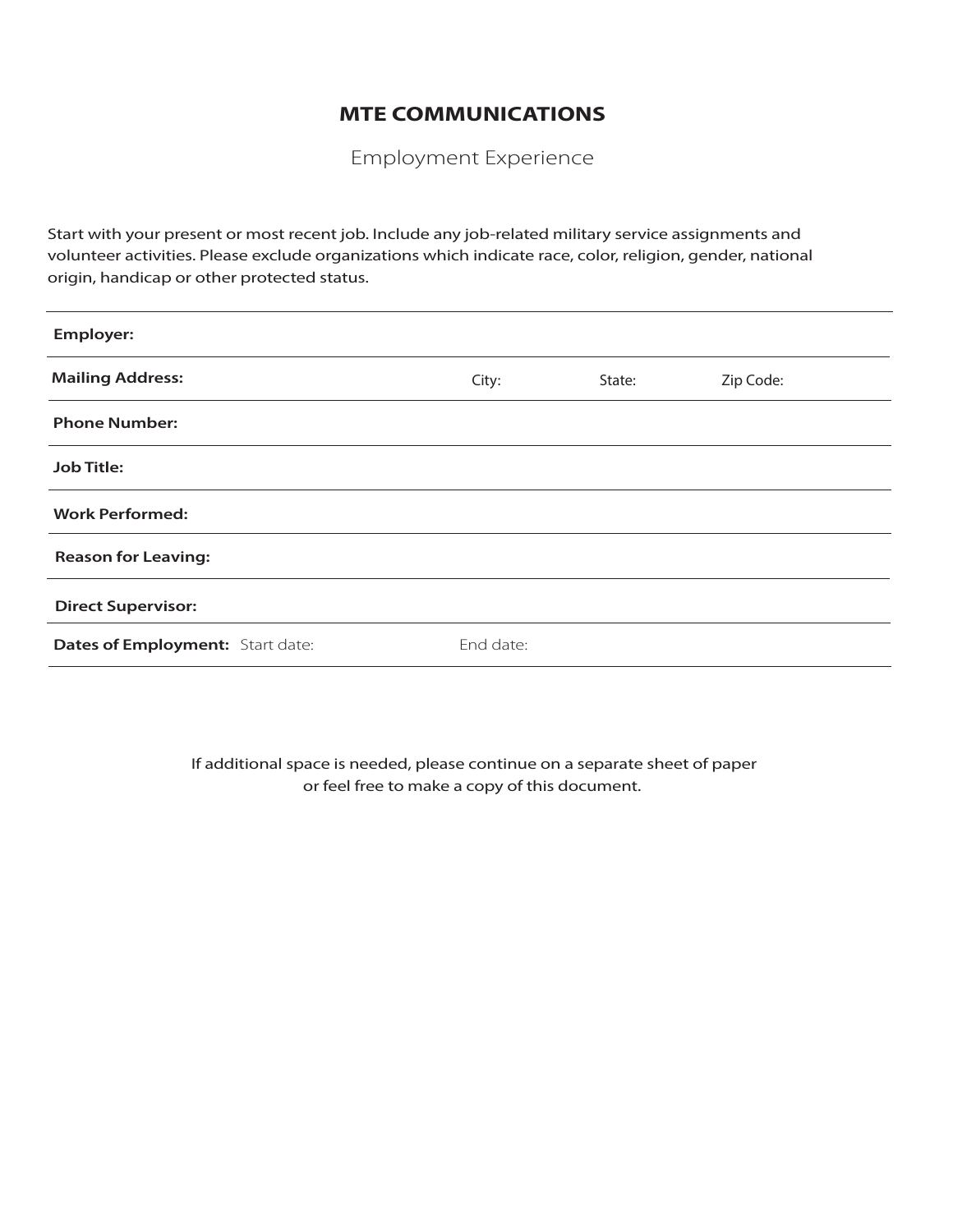Employment Experience

Start with your present or most recent job. Include any job-related military service assignments and volunteer activities. Please exclude organizations which indicate race, color, religion, gender, national origin, handicap or other protected status.

| <b>Employer:</b>                 |           |        |           |
|----------------------------------|-----------|--------|-----------|
| <b>Mailing Address:</b>          | City:     | State: | Zip Code: |
| <b>Phone Number:</b>             |           |        |           |
| <b>Job Title:</b>                |           |        |           |
| <b>Work Performed:</b>           |           |        |           |
| <b>Reason for Leaving:</b>       |           |        |           |
| <b>Direct Supervisor:</b>        |           |        |           |
| Dates of Employment: Start date: | End date: |        |           |

If additional space is needed, please continue on a separate sheet of paper or feel free to make a copy of this document.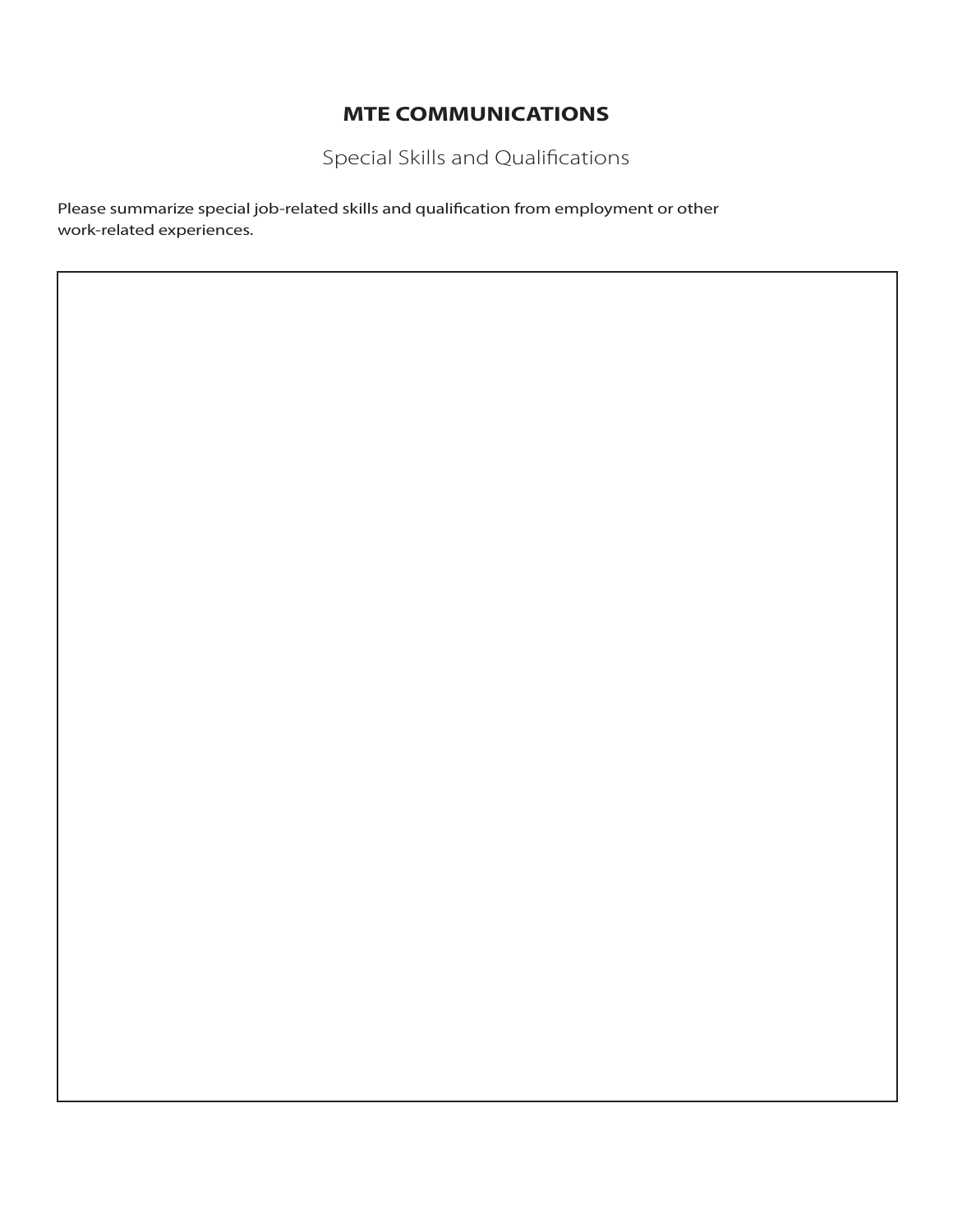Special Skills and Qualifications

Please summarize special job-related skills and qualification from employment or other work-related experiences.